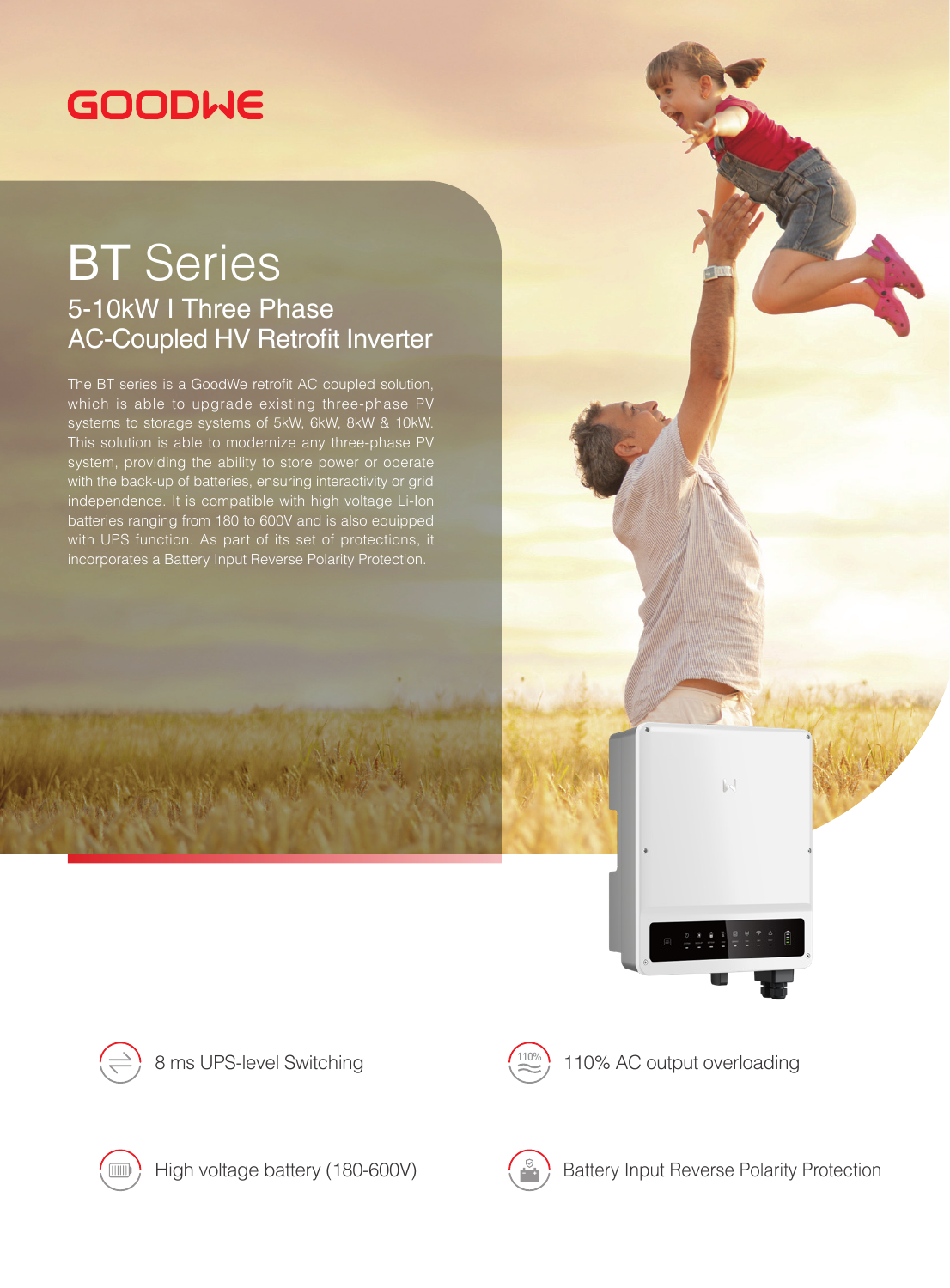## **GOODWE**

## BT Series 5-10kW I Three Phase AC-Coupled HV Retrofit Inverter

The BT series is a GoodWe retrofit AC coupled solution, which is able to upgrade existing three-phase PV systems to storage systems of 5kW, 6kW, 8kW & 10kW. This solution is able to modernize any three-phase PV system, providing the ability to store power or operate with the back-up of batteries, ensuring interactivity or grid independence. It is compatible with high voltage Li-Ion batteries ranging from 180 to 600V and is also equipped with UPS function. As part of its set of protections, it incorporates a Battery Input Reverse Polarity Protection.







8 ms UPS-level Switching  $\left(\frac{110\%}{\infty}\right)$  110% AC output overloading





High voltage battery (180-600V)  $\left(\begin{array}{c} \circ \\ \circ \end{array}\right)$  Battery Input Reverse Polarity Protection

 $\| \cdot \rangle$